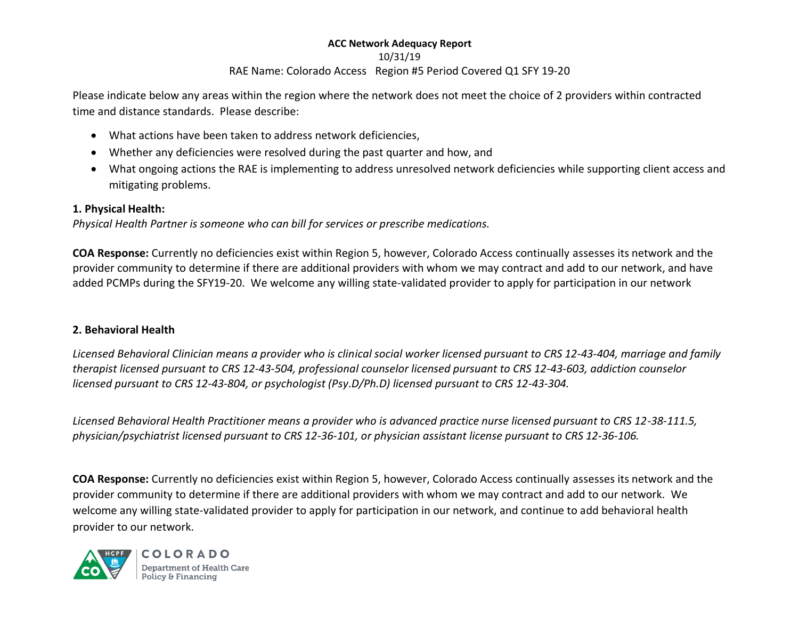#### 10/31/19

# RAE Name: Colorado Access Region #5 Period Covered Q1 SFY 19-20

Please indicate below any areas within the region where the network does not meet the choice of 2 providers within contracted time and distance standards. Please describe:

- What actions have been taken to address network deficiencies,
- Whether any deficiencies were resolved during the past quarter and how, and
- What ongoing actions the RAE is implementing to address unresolved network deficiencies while supporting client access and mitigating problems.

# **1. Physical Health:**

*Physical Health Partner is someone who can bill for services or prescribe medications.*

**COA Response:** Currently no deficiencies exist within Region 5, however, Colorado Access continually assesses its network and the provider community to determine if there are additional providers with whom we may contract and add to our network, and have added PCMPs during the SFY19-20. We welcome any willing state-validated provider to apply for participation in our network

## **2. Behavioral Health**

*Licensed Behavioral Clinician means a provider who is clinical social worker licensed pursuant to CRS 12-43-404, marriage and family therapist licensed pursuant to CRS 12-43-504, professional counselor licensed pursuant to CRS 12-43-603, addiction counselor licensed pursuant to CRS 12-43-804, or psychologist (Psy.D/Ph.D) licensed pursuant to CRS 12-43-304.*

*Licensed Behavioral Health Practitioner means a provider who is advanced practice nurse licensed pursuant to CRS 12-38-111.5, physician/psychiatrist licensed pursuant to CRS 12-36-101, or physician assistant license pursuant to CRS 12-36-106.*

**COA Response:** Currently no deficiencies exist within Region 5, however, Colorado Access continually assesses its network and the provider community to determine if there are additional providers with whom we may contract and add to our network. We welcome any willing state-validated provider to apply for participation in our network, and continue to add behavioral health provider to our network.



**COLORADO** Department of Health Care Policy & Financing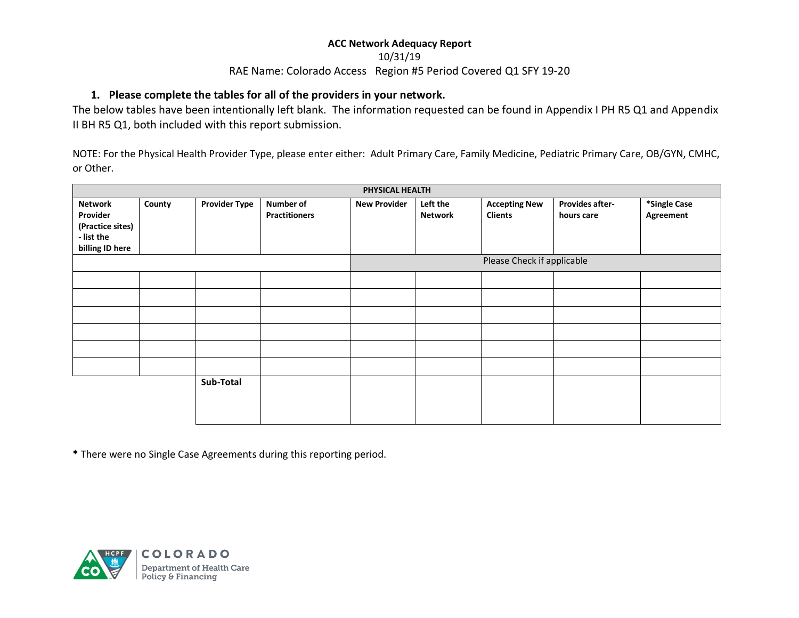#### 10/31/19

#### RAE Name: Colorado Access Region #5 Period Covered Q1 SFY 19-20

#### **1. Please complete the tables for all of the providers in your network.**

The below tables have been intentionally left blank. The information requested can be found in Appendix I PH R5 Q1 and Appendix II BH R5 Q1, both included with this report submission.

NOTE: For the Physical Health Provider Type, please enter either: Adult Primary Care, Family Medicine, Pediatric Primary Care, OB/GYN, CMHC, or Other.

| PHYSICAL HEALTH                                                                 |        |                      |                                          |                            |                            |                                        |                               |                           |  |
|---------------------------------------------------------------------------------|--------|----------------------|------------------------------------------|----------------------------|----------------------------|----------------------------------------|-------------------------------|---------------------------|--|
| <b>Network</b><br>Provider<br>(Practice sites)<br>- list the<br>billing ID here | County | <b>Provider Type</b> | <b>Number of</b><br><b>Practitioners</b> | <b>New Provider</b>        | Left the<br><b>Network</b> | <b>Accepting New</b><br><b>Clients</b> | Provides after-<br>hours care | *Single Case<br>Agreement |  |
|                                                                                 |        |                      |                                          | Please Check if applicable |                            |                                        |                               |                           |  |
|                                                                                 |        |                      |                                          |                            |                            |                                        |                               |                           |  |
|                                                                                 |        |                      |                                          |                            |                            |                                        |                               |                           |  |
|                                                                                 |        |                      |                                          |                            |                            |                                        |                               |                           |  |
|                                                                                 |        |                      |                                          |                            |                            |                                        |                               |                           |  |
|                                                                                 |        |                      |                                          |                            |                            |                                        |                               |                           |  |
|                                                                                 |        |                      |                                          |                            |                            |                                        |                               |                           |  |
|                                                                                 |        | Sub-Total            |                                          |                            |                            |                                        |                               |                           |  |

**\*** There were no Single Case Agreements during this reporting period.

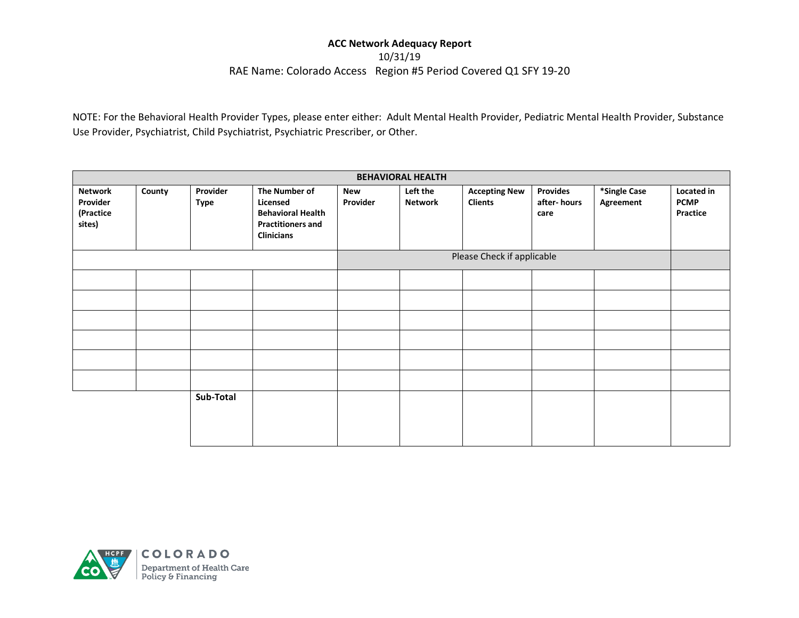10/31/19

#### RAE Name: Colorado Access Region #5 Period Covered Q1 SFY 19-20

NOTE: For the Behavioral Health Provider Types, please enter either: Adult Mental Health Provider, Pediatric Mental Health Provider, Substance Use Provider, Psychiatrist, Child Psychiatrist, Psychiatric Prescriber, or Other.

| <b>BEHAVIORAL HEALTH</b>                   |        |                         |                                                                                                        |                 |                            |                                        |                                        |                           |                                              |
|--------------------------------------------|--------|-------------------------|--------------------------------------------------------------------------------------------------------|-----------------|----------------------------|----------------------------------------|----------------------------------------|---------------------------|----------------------------------------------|
| Network<br>Provider<br>(Practice<br>sites) | County | Provider<br><b>Type</b> | The Number of<br>Licensed<br><b>Behavioral Health</b><br><b>Practitioners and</b><br><b>Clinicians</b> | New<br>Provider | Left the<br><b>Network</b> | <b>Accepting New</b><br><b>Clients</b> | <b>Provides</b><br>after-hours<br>care | *Single Case<br>Agreement | <b>Located in</b><br><b>PCMP</b><br>Practice |
|                                            |        |                         | Please Check if applicable                                                                             |                 |                            |                                        |                                        |                           |                                              |
|                                            |        |                         |                                                                                                        |                 |                            |                                        |                                        |                           |                                              |
|                                            |        |                         |                                                                                                        |                 |                            |                                        |                                        |                           |                                              |
|                                            |        |                         |                                                                                                        |                 |                            |                                        |                                        |                           |                                              |
|                                            |        |                         |                                                                                                        |                 |                            |                                        |                                        |                           |                                              |
|                                            |        |                         |                                                                                                        |                 |                            |                                        |                                        |                           |                                              |
|                                            |        |                         |                                                                                                        |                 |                            |                                        |                                        |                           |                                              |
|                                            |        | Sub-Total               |                                                                                                        |                 |                            |                                        |                                        |                           |                                              |

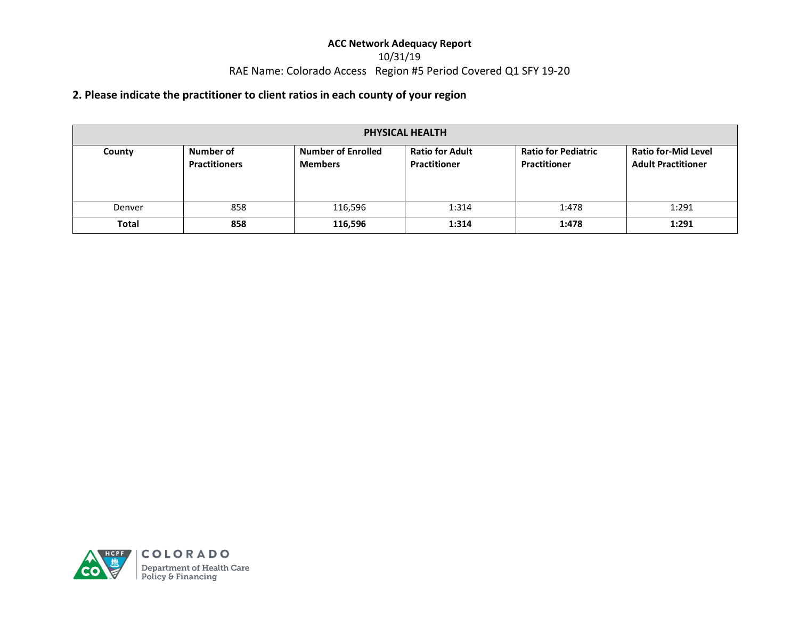## 10/31/19 RAE Name: Colorado Access Region #5 Period Covered Q1 SFY 19-20

# **2. Please indicate the practitioner to client ratios in each county of your region**

| PHYSICAL HEALTH |                                   |                                             |                                               |                                            |                                                         |  |  |
|-----------------|-----------------------------------|---------------------------------------------|-----------------------------------------------|--------------------------------------------|---------------------------------------------------------|--|--|
| County          | Number of<br><b>Practitioners</b> | <b>Number of Enrolled</b><br><b>Members</b> | <b>Ratio for Adult</b><br><b>Practitioner</b> | <b>Ratio for Pediatric</b><br>Practitioner | <b>Ratio for-Mid Level</b><br><b>Adult Practitioner</b> |  |  |
| Denver          | 858                               | 116,596                                     | 1:314                                         | 1:478                                      | 1:291                                                   |  |  |
| <b>Total</b>    | 858                               | 116,596                                     | 1:314                                         | 1:478                                      | 1:291                                                   |  |  |